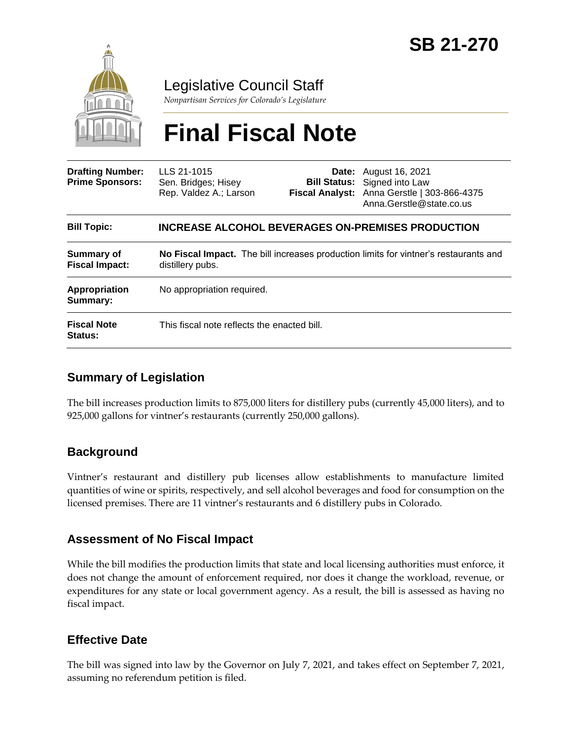

# Legislative Council Staff

*Nonpartisan Services for Colorado's Legislature*

# **Final Fiscal Note**

| <b>Drafting Number:</b><br><b>Prime Sponsors:</b> | LLS 21-1015<br>Sen. Bridges; Hisey<br>Rep. Valdez A.; Larson                                                    |  | <b>Date:</b> August 16, 2021<br><b>Bill Status:</b> Signed into Law<br>Fiscal Analyst: Anna Gerstle   303-866-4375<br>Anna.Gerstle@state.co.us |
|---------------------------------------------------|-----------------------------------------------------------------------------------------------------------------|--|------------------------------------------------------------------------------------------------------------------------------------------------|
| <b>Bill Topic:</b>                                | <b>INCREASE ALCOHOL BEVERAGES ON-PREMISES PRODUCTION</b>                                                        |  |                                                                                                                                                |
| Summary of<br><b>Fiscal Impact:</b>               | <b>No Fiscal Impact.</b> The bill increases production limits for vintner's restaurants and<br>distillery pubs. |  |                                                                                                                                                |
| Appropriation<br>Summary:                         | No appropriation required.                                                                                      |  |                                                                                                                                                |
| <b>Fiscal Note</b><br>Status:                     | This fiscal note reflects the enacted bill.                                                                     |  |                                                                                                                                                |

## **Summary of Legislation**

The bill increases production limits to 875,000 liters for distillery pubs (currently 45,000 liters), and to 925,000 gallons for vintner's restaurants (currently 250,000 gallons).

#### **Background**

Vintner's restaurant and distillery pub licenses allow establishments to manufacture limited quantities of wine or spirits, respectively, and sell alcohol beverages and food for consumption on the licensed premises. There are 11 vintner's restaurants and 6 distillery pubs in Colorado.

#### **Assessment of No Fiscal Impact**

While the bill modifies the production limits that state and local licensing authorities must enforce, it does not change the amount of enforcement required, nor does it change the workload, revenue, or expenditures for any state or local government agency. As a result, the bill is assessed as having no fiscal impact.

## **Effective Date**

The bill was signed into law by the Governor on July 7, 2021, and takes effect on September 7, 2021, assuming no referendum petition is filed.